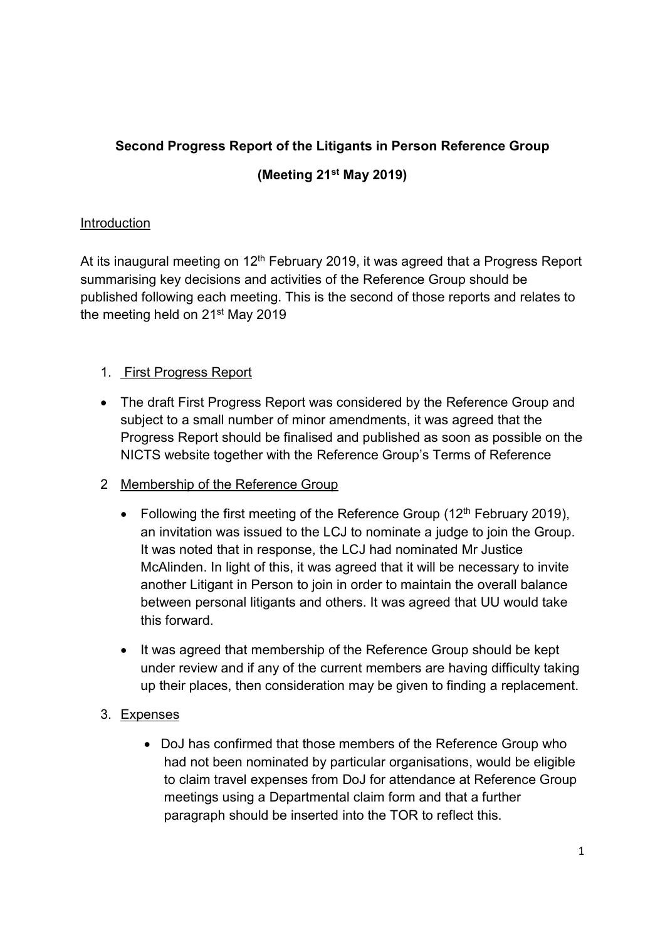# Second Progress Report of the Litigants in Person Reference Group

## (Meeting 21st May 2019)

#### **Introduction**

At its inaugural meeting on  $12<sup>th</sup>$  February 2019, it was agreed that a Progress Report summarising key decisions and activities of the Reference Group should be published following each meeting. This is the second of those reports and relates to the meeting held on 21<sup>st</sup> May 2019

# 1. First Progress Report

- The draft First Progress Report was considered by the Reference Group and subject to a small number of minor amendments, it was agreed that the Progress Report should be finalised and published as soon as possible on the NICTS website together with the Reference Group's Terms of Reference
- 2 Membership of the Reference Group
	- Following the first meeting of the Reference Group  $(12<sup>th</sup>$  February 2019), an invitation was issued to the LCJ to nominate a judge to join the Group. It was noted that in response, the LCJ had nominated Mr Justice McAlinden. In light of this, it was agreed that it will be necessary to invite another Litigant in Person to join in order to maintain the overall balance between personal litigants and others. It was agreed that UU would take this forward.
	- It was agreed that membership of the Reference Group should be kept under review and if any of the current members are having difficulty taking up their places, then consideration may be given to finding a replacement.

## 3. Expenses

 DoJ has confirmed that those members of the Reference Group who had not been nominated by particular organisations, would be eligible to claim travel expenses from DoJ for attendance at Reference Group meetings using a Departmental claim form and that a further paragraph should be inserted into the TOR to reflect this.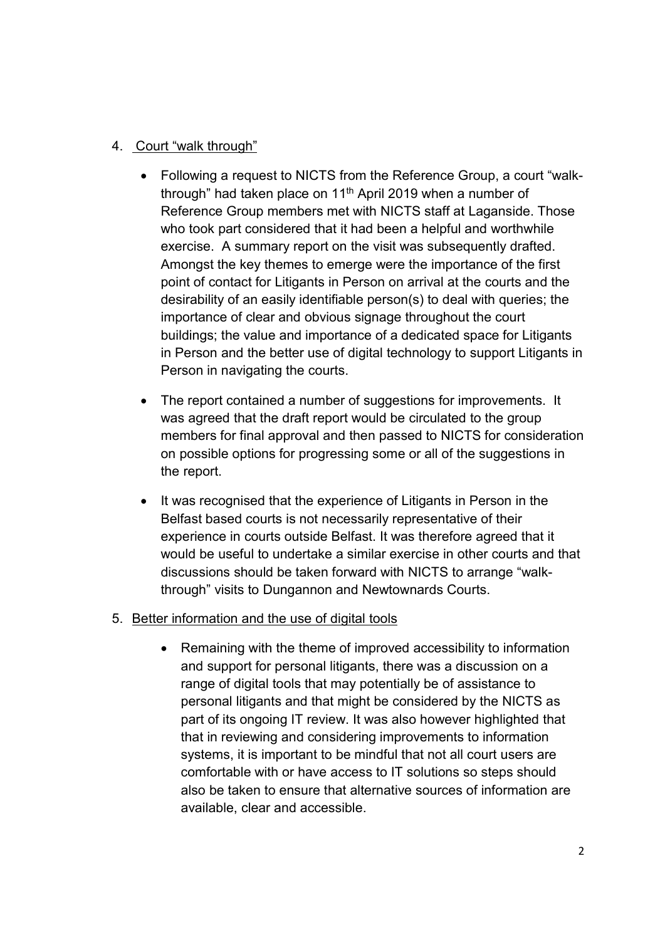#### 4. Court "walk through"

- Following a request to NICTS from the Reference Group, a court "walkthrough" had taken place on 11<sup>th</sup> April 2019 when a number of Reference Group members met with NICTS staff at Laganside. Those who took part considered that it had been a helpful and worthwhile exercise. A summary report on the visit was subsequently drafted. Amongst the key themes to emerge were the importance of the first point of contact for Litigants in Person on arrival at the courts and the desirability of an easily identifiable person(s) to deal with queries; the importance of clear and obvious signage throughout the court buildings; the value and importance of a dedicated space for Litigants in Person and the better use of digital technology to support Litigants in Person in navigating the courts.
- The report contained a number of suggestions for improvements. It was agreed that the draft report would be circulated to the group members for final approval and then passed to NICTS for consideration on possible options for progressing some or all of the suggestions in the report.
- It was recognised that the experience of Litigants in Person in the Belfast based courts is not necessarily representative of their experience in courts outside Belfast. It was therefore agreed that it would be useful to undertake a similar exercise in other courts and that discussions should be taken forward with NICTS to arrange "walkthrough" visits to Dungannon and Newtownards Courts.

#### 5. Better information and the use of digital tools

• Remaining with the theme of improved accessibility to information and support for personal litigants, there was a discussion on a range of digital tools that may potentially be of assistance to personal litigants and that might be considered by the NICTS as part of its ongoing IT review. It was also however highlighted that that in reviewing and considering improvements to information systems, it is important to be mindful that not all court users are comfortable with or have access to IT solutions so steps should also be taken to ensure that alternative sources of information are available, clear and accessible.